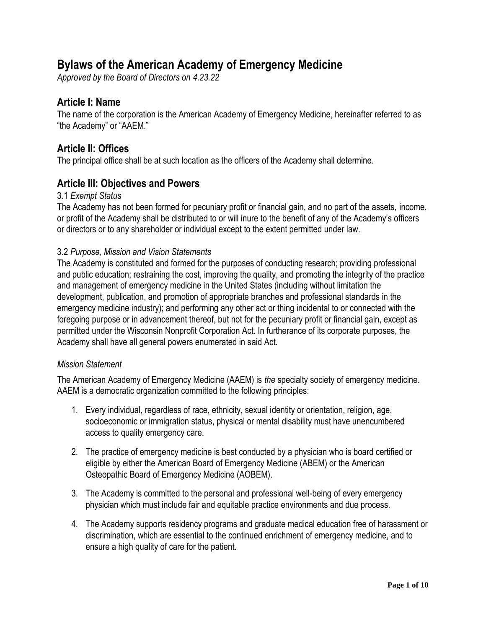# **Bylaws of the American Academy of Emergency Medicine**

*Approved by the Board of Directors on 4.23.22*

## **Article I: Name**

The name of the corporation is the American Academy of Emergency Medicine, hereinafter referred to as "the Academy" or "AAEM."

## **Article II: Offices**

The principal office shall be at such location as the officers of the Academy shall determine.

## **Article III: Objectives and Powers**

#### 3.1 *Exempt Status*

The Academy has not been formed for pecuniary profit or financial gain, and no part of the assets, income, or profit of the Academy shall be distributed to or will inure to the benefit of any of the Academy's officers or directors or to any shareholder or individual except to the extent permitted under law.

#### 3.2 *Purpose, Mission and Vision Statements*

The Academy is constituted and formed for the purposes of conducting research; providing professional and public education; restraining the cost, improving the quality, and promoting the integrity of the practice and management of emergency medicine in the United States (including without limitation the development, publication, and promotion of appropriate branches and professional standards in the emergency medicine industry); and performing any other act or thing incidental to or connected with the foregoing purpose or in advancement thereof, but not for the pecuniary profit or financial gain, except as permitted under the Wisconsin Nonprofit Corporation Act. In furtherance of its corporate purposes, the Academy shall have all general powers enumerated in said Act.

#### *Mission Statement*

The American Academy of Emergency Medicine (AAEM) is *the* specialty society of emergency medicine. AAEM is a democratic organization committed to the following principles:

- 1. Every individual, regardless of race, ethnicity, sexual identity or orientation, religion, age, socioeconomic or immigration status, physical or mental disability must have unencumbered access to quality emergency care.
- 2. The practice of emergency medicine is best conducted by a physician who is board certified or eligible by either the American Board of Emergency Medicine (ABEM) or the American Osteopathic Board of Emergency Medicine (AOBEM).
- 3. The Academy is committed to the personal and professional well-being of every emergency physician which must include fair and equitable practice environments and due process.
- 4. The Academy supports residency programs and graduate medical education free of harassment or discrimination, which are essential to the continued enrichment of emergency medicine, and to ensure a high quality of care for the patient.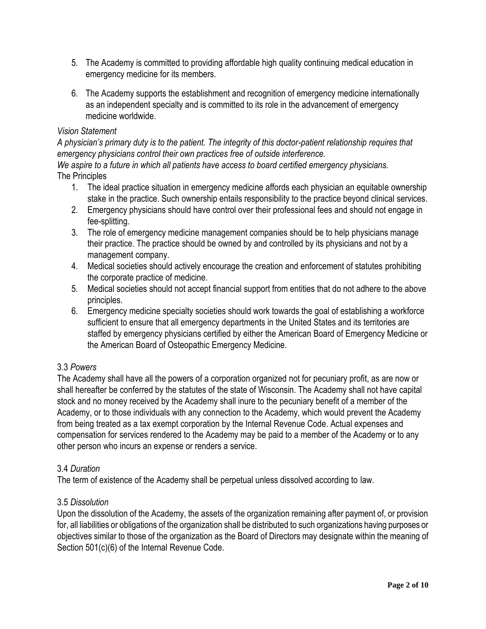- 5. The Academy is committed to providing affordable high quality continuing medical education in emergency medicine for its members.
- 6. The Academy supports the establishment and recognition of emergency medicine internationally as an independent specialty and is committed to its role in the advancement of emergency medicine worldwide.

## *Vision Statement*

*A physician's primary duty is to the patient. The integrity of this doctor-patient relationship requires that emergency physicians control their own practices free of outside interference.* 

*We aspire to a future in which all patients have access to board certified emergency physicians.*  The Principles

- 1. The ideal practice situation in emergency medicine affords each physician an equitable ownership stake in the practice. Such ownership entails responsibility to the practice beyond clinical services.
- 2. Emergency physicians should have control over their professional fees and should not engage in fee-splitting.
- 3. The role of emergency medicine management companies should be to help physicians manage their practice. The practice should be owned by and controlled by its physicians and not by a management company.
- 4. Medical societies should actively encourage the creation and enforcement of statutes prohibiting the corporate practice of medicine.
- 5. Medical societies should not accept financial support from entities that do not adhere to the above principles.
- 6. Emergency medicine specialty societies should work towards the goal of establishing a workforce sufficient to ensure that all emergency departments in the United States and its territories are staffed by emergency physicians certified by either the American Board of Emergency Medicine or the American Board of Osteopathic Emergency Medicine.

## 3.3 *Powers*

The Academy shall have all the powers of a corporation organized not for pecuniary profit, as are now or shall hereafter be conferred by the statutes of the state of Wisconsin. The Academy shall not have capital stock and no money received by the Academy shall inure to the pecuniary benefit of a member of the Academy, or to those individuals with any connection to the Academy, which would prevent the Academy from being treated as a tax exempt corporation by the Internal Revenue Code. Actual expenses and compensation for services rendered to the Academy may be paid to a member of the Academy or to any other person who incurs an expense or renders a service.

## 3.4 *Duration*

The term of existence of the Academy shall be perpetual unless dissolved according to law.

## 3.5 *Dissolution*

Upon the dissolution of the Academy, the assets of the organization remaining after payment of, or provision for, all liabilities or obligations of the organization shall be distributed to such organizations having purposes or objectives similar to those of the organization as the Board of Directors may designate within the meaning of Section 501(c)(6) of the Internal Revenue Code.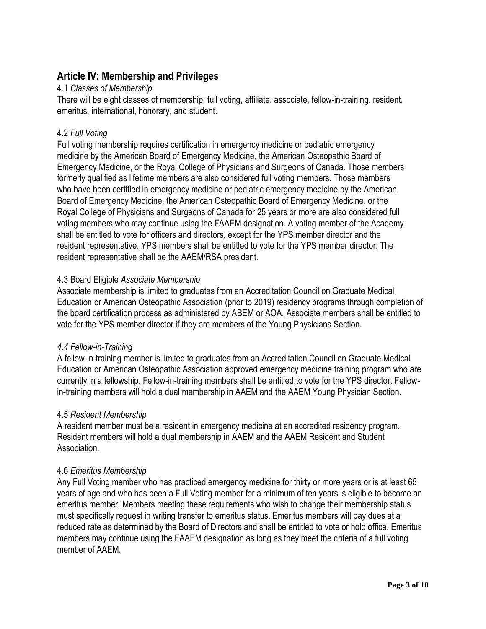## **Article IV: Membership and Privileges**

### 4.1 *Classes of Membership*

There will be eight classes of membership: full voting, affiliate, associate, fellow-in-training, resident, emeritus, international, honorary, and student.

## 4.2 *Full Voting*

Full voting membership requires certification in emergency medicine or pediatric emergency medicine by the American Board of Emergency Medicine, the American Osteopathic Board of Emergency Medicine, or the Royal College of Physicians and Surgeons of Canada. Those members formerly qualified as lifetime members are also considered full voting members. Those members who have been certified in emergency medicine or pediatric emergency medicine by the American Board of Emergency Medicine, the American Osteopathic Board of Emergency Medicine, or the Royal College of Physicians and Surgeons of Canada for 25 years or more are also considered full voting members who may continue using the FAAEM designation. A voting member of the Academy shall be entitled to vote for officers and directors, except for the YPS member director and the resident representative. YPS members shall be entitled to vote for the YPS member director. The resident representative shall be the AAEM/RSA president.

## 4.3 Board Eligible *Associate Membership*

Associate membership is limited to graduates from an Accreditation Council on Graduate Medical Education or American Osteopathic Association (prior to 2019) residency programs through completion of the board certification process as administered by ABEM or AOA. Associate members shall be entitled to vote for the YPS member director if they are members of the Young Physicians Section.

## *4.4 Fellow-in-Training*

A fellow-in-training member is limited to graduates from an Accreditation Council on Graduate Medical Education or American Osteopathic Association approved emergency medicine training program who are currently in a fellowship. Fellow-in-training members shall be entitled to vote for the YPS director. Fellowin-training members will hold a dual membership in AAEM and the AAEM Young Physician Section.

#### 4.5 *Resident Membership*

A resident member must be a resident in emergency medicine at an accredited residency program. Resident members will hold a dual membership in AAEM and the AAEM Resident and Student Association.

## 4.6 *Emeritus Membership*

Any Full Voting member who has practiced emergency medicine for thirty or more years or is at least 65 years of age and who has been a Full Voting member for a minimum of ten years is eligible to become an emeritus member*.* Members meeting these requirements who wish to change their membership status must specifically request in writing transfer to emeritus status. Emeritus members will pay dues at a reduced rate as determined by the Board of Directors and shall be entitled to vote or hold office. Emeritus members may continue using the FAAEM designation as long as they meet the criteria of a full voting member of AAEM.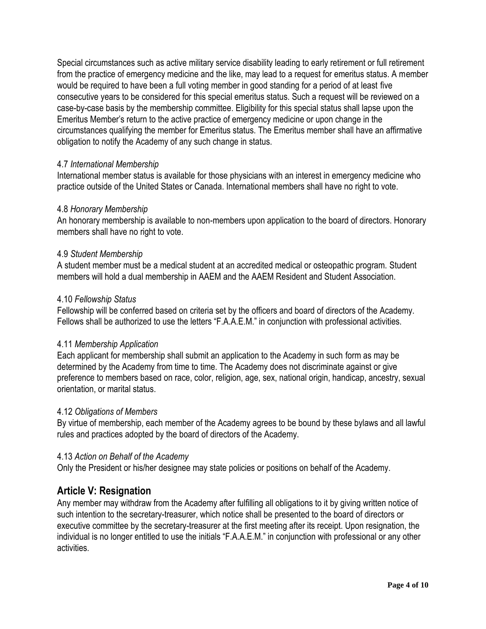Special circumstances such as active military service disability leading to early retirement or full retirement from the practice of emergency medicine and the like, may lead to a request for emeritus status. A member would be required to have been a full voting member in good standing for a period of at least five consecutive years to be considered for this special emeritus status. Such a request will be reviewed on a case-by-case basis by the membership committee. Eligibility for this special status shall lapse upon the Emeritus Member's return to the active practice of emergency medicine or upon change in the circumstances qualifying the member for Emeritus status. The Emeritus member shall have an affirmative obligation to notify the Academy of any such change in status.

#### 4.7 *International Membership*

International member status is available for those physicians with an interest in emergency medicine who practice outside of the United States or Canada. International members shall have no right to vote.

#### 4.8 *Honorary Membership*

An honorary membership is available to non-members upon application to the board of directors. Honorary members shall have no right to vote.

#### 4.9 *Student Membership*

A student member must be a medical student at an accredited medical or osteopathic program. Student members will hold a dual membership in AAEM and the AAEM Resident and Student Association.

#### 4.10 *Fellowship Status*

Fellowship will be conferred based on criteria set by the officers and board of directors of the Academy. Fellows shall be authorized to use the letters "F.A.A.E.M." in conjunction with professional activities.

#### 4.11 *Membership Application*

Each applicant for membership shall submit an application to the Academy in such form as may be determined by the Academy from time to time. The Academy does not discriminate against or give preference to members based on race, color, religion, age, sex, national origin, handicap, ancestry, sexual orientation, or marital status.

#### 4.12 *Obligations of Members*

By virtue of membership, each member of the Academy agrees to be bound by these bylaws and all lawful rules and practices adopted by the board of directors of the Academy.

#### 4.13 *Action on Behalf of the Academy*

Only the President or his/her designee may state policies or positions on behalf of the Academy.

## **Article V: Resignation**

Any member may withdraw from the Academy after fulfilling all obligations to it by giving written notice of such intention to the secretary-treasurer, which notice shall be presented to the board of directors or executive committee by the secretary-treasurer at the first meeting after its receipt. Upon resignation, the individual is no longer entitled to use the initials "F.A.A.E.M." in conjunction with professional or any other activities.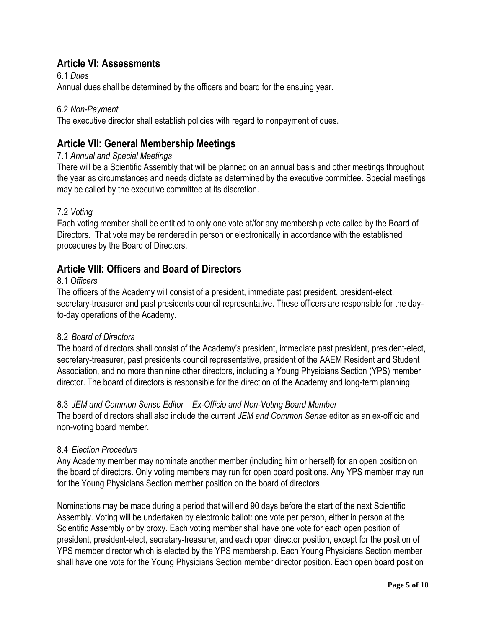## **Article VI: Assessments**

6.1 *Dues* Annual dues shall be determined by the officers and board for the ensuing year.

## 6.2 *Non-Payment*

The executive director shall establish policies with regard to nonpayment of dues.

## **Article VII: General Membership Meetings**

### 7.1 *Annual and Special Meetings*

There will be a Scientific Assembly that will be planned on an annual basis and other meetings throughout the year as circumstances and needs dictate as determined by the executive committee. Special meetings may be called by the executive committee at its discretion.

## 7.2 *Voting*

Each voting member shall be entitled to only one vote at/for any membership vote called by the Board of Directors. That vote may be rendered in person or electronically in accordance with the established procedures by the Board of Directors.

## **Article VIII: Officers and Board of Directors**

#### 8.1 *Officers*

The officers of the Academy will consist of a president, immediate past president, president-elect, secretary-treasurer and past presidents council representative. These officers are responsible for the dayto-day operations of the Academy.

## 8.2 *Board of Directors*

The board of directors shall consist of the Academy's president, immediate past president, president-elect, secretary-treasurer, past presidents council representative, president of the AAEM Resident and Student Association, and no more than nine other directors, including a Young Physicians Section (YPS) member director. The board of directors is responsible for the direction of the Academy and long-term planning.

## 8.3 *JEM and Common Sense Editor – Ex-Officio and Non-Voting Board Member*

The board of directors shall also include the current *JEM and Common Sense* editor as an ex-officio and non-voting board member.

## 8.4 *Election Procedure*

Any Academy member may nominate another member (including him or herself) for an open position on the board of directors. Only voting members may run for open board positions. Any YPS member may run for the Young Physicians Section member position on the board of directors.

Nominations may be made during a period that will end 90 days before the start of the next Scientific Assembly. Voting will be undertaken by electronic ballot: one vote per person, either in person at the Scientific Assembly or by proxy. Each voting member shall have one vote for each open position of president, president-elect, secretary-treasurer, and each open director position, except for the position of YPS member director which is elected by the YPS membership. Each Young Physicians Section member shall have one vote for the Young Physicians Section member director position. Each open board position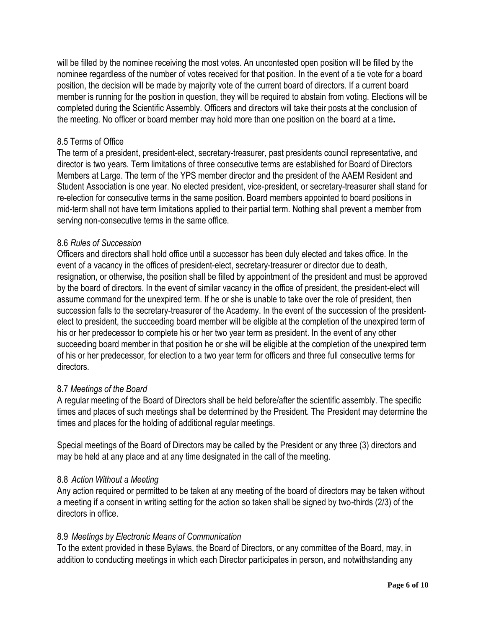will be filled by the nominee receiving the most votes. An uncontested open position will be filled by the nominee regardless of the number of votes received for that position. In the event of a tie vote for a board position, the decision will be made by majority vote of the current board of directors. If a current board member is running for the position in question, they will be required to abstain from voting. Elections will be completed during the Scientific Assembly. Officers and directors will take their posts at the conclusion of the meeting. No officer or board member may hold more than one position on the board at a time**.**

## 8.5 Terms of Office

The term of a president, president-elect, secretary-treasurer, past presidents council representative, and director is two years. Term limitations of three consecutive terms are established for Board of Directors Members at Large. The term of the YPS member director and the president of the AAEM Resident and Student Association is one year. No elected president, vice-president, or secretary-treasurer shall stand for re-election for consecutive terms in the same position. Board members appointed to board positions in mid-term shall not have term limitations applied to their partial term. Nothing shall prevent a member from serving non-consecutive terms in the same office.

#### 8.6 *Rules of Succession*

Officers and directors shall hold office until a successor has been duly elected and takes office. In the event of a vacancy in the offices of president-elect, secretary-treasurer or director due to death, resignation, or otherwise, the position shall be filled by appointment of the president and must be approved by the board of directors. In the event of similar vacancy in the office of president, the president-elect will assume command for the unexpired term. If he or she is unable to take over the role of president, then succession falls to the secretary-treasurer of the Academy. In the event of the succession of the presidentelect to president, the succeeding board member will be eligible at the completion of the unexpired term of his or her predecessor to complete his or her two year term as president. In the event of any other succeeding board member in that position he or she will be eligible at the completion of the unexpired term of his or her predecessor, for election to a two year term for officers and three full consecutive terms for directors.

## 8.7 *Meetings of the Board*

A regular meeting of the Board of Directors shall be held before/after the scientific assembly. The specific times and places of such meetings shall be determined by the President. The President may determine the times and places for the holding of additional regular meetings.

Special meetings of the Board of Directors may be called by the President or any three (3) directors and may be held at any place and at any time designated in the call of the meeting.

## 8.8 *Action Without a Meeting*

Any action required or permitted to be taken at any meeting of the board of directors may be taken without a meeting if a consent in writing setting for the action so taken shall be signed by two-thirds (2/3) of the directors in office.

## 8.9 *Meetings by Electronic Means of Communication*

To the extent provided in these Bylaws, the Board of Directors, or any committee of the Board, may, in addition to conducting meetings in which each Director participates in person, and notwithstanding any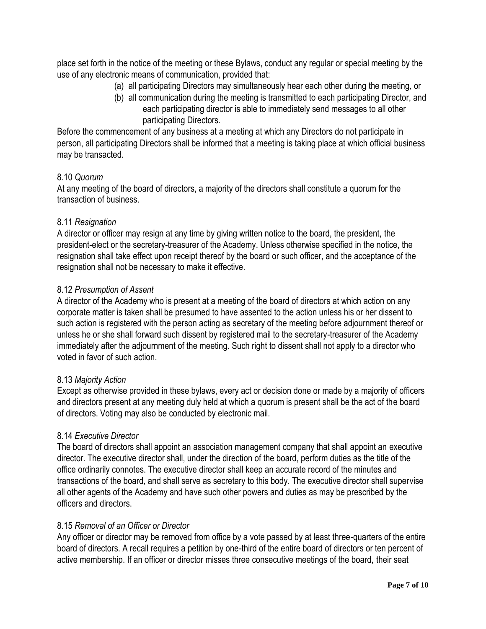place set forth in the notice of the meeting or these Bylaws, conduct any regular or special meeting by the use of any electronic means of communication, provided that:

- (a) all participating Directors may simultaneously hear each other during the meeting, or
- (b) all communication during the meeting is transmitted to each participating Director, and each participating director is able to immediately send messages to all other participating Directors.

Before the commencement of any business at a meeting at which any Directors do not participate in person, all participating Directors shall be informed that a meeting is taking place at which official business may be transacted.

#### 8.10 *Quorum*

At any meeting of the board of directors, a majority of the directors shall constitute a quorum for the transaction of business.

## 8.11 *Resignation*

A director or officer may resign at any time by giving written notice to the board, the president, the president-elect or the secretary-treasurer of the Academy. Unless otherwise specified in the notice, the resignation shall take effect upon receipt thereof by the board or such officer, and the acceptance of the resignation shall not be necessary to make it effective.

#### 8.12 *Presumption of Assent*

A director of the Academy who is present at a meeting of the board of directors at which action on any corporate matter is taken shall be presumed to have assented to the action unless his or her dissent to such action is registered with the person acting as secretary of the meeting before adjournment thereof or unless he or she shall forward such dissent by registered mail to the secretary-treasurer of the Academy immediately after the adjournment of the meeting. Such right to dissent shall not apply to a director who voted in favor of such action.

#### 8.13 *Majority Action*

Except as otherwise provided in these bylaws, every act or decision done or made by a majority of officers and directors present at any meeting duly held at which a quorum is present shall be the act of the board of directors. Voting may also be conducted by electronic mail.

#### 8.14 *Executive Director*

The board of directors shall appoint an association management company that shall appoint an executive director. The executive director shall, under the direction of the board, perform duties as the title of the office ordinarily connotes. The executive director shall keep an accurate record of the minutes and transactions of the board, and shall serve as secretary to this body. The executive director shall supervise all other agents of the Academy and have such other powers and duties as may be prescribed by the officers and directors.

#### 8.15 *Removal of an Officer or Director*

Any officer or director may be removed from office by a vote passed by at least three-quarters of the entire board of directors. A recall requires a petition by one-third of the entire board of directors or ten percent of active membership. If an officer or director misses three consecutive meetings of the board, their seat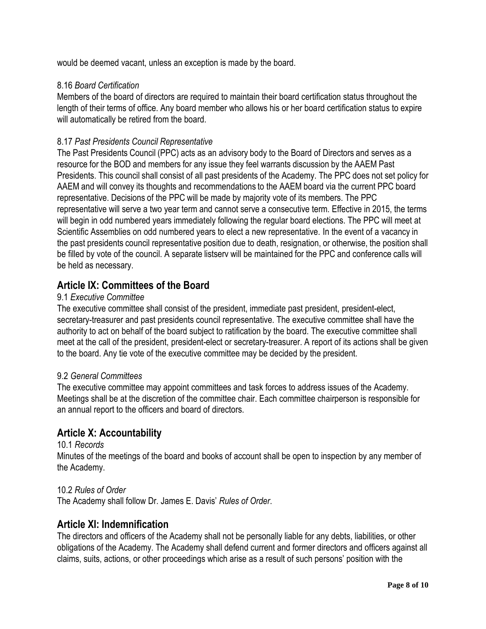would be deemed vacant, unless an exception is made by the board.

#### 8.16 *Board Certification*

Members of the board of directors are required to maintain their board certification status throughout the length of their terms of office. Any board member who allows his or her board certification status to expire will automatically be retired from the board.

### 8.17 *Past Presidents Council Representative*

The Past Presidents Council (PPC) acts as an advisory body to the Board of Directors and serves as a resource for the BOD and members for any issue they feel warrants discussion by the AAEM Past Presidents. This council shall consist of all past presidents of the Academy. The PPC does not set policy for AAEM and will convey its thoughts and recommendations to the AAEM board via the current PPC board representative. Decisions of the PPC will be made by majority vote of its members. The PPC representative will serve a two year term and cannot serve a consecutive term. Effective in 2015, the terms will begin in odd numbered years immediately following the regular board elections. The PPC will meet at Scientific Assemblies on odd numbered years to elect a new representative. In the event of a vacancy in the past presidents council representative position due to death, resignation, or otherwise, the position shall be filled by vote of the council. A separate listserv will be maintained for the PPC and conference calls will be held as necessary.

## **Article IX: Committees of the Board**

#### 9.1 *Executive Committee*

The executive committee shall consist of the president, immediate past president, president-elect, secretary-treasurer and past presidents council representative. The executive committee shall have the authority to act on behalf of the board subject to ratification by the board. The executive committee shall meet at the call of the president, president-elect or secretary-treasurer. A report of its actions shall be given to the board. Any tie vote of the executive committee may be decided by the president.

#### 9.2 *General Committees*

The executive committee may appoint committees and task forces to address issues of the Academy. Meetings shall be at the discretion of the committee chair. Each committee chairperson is responsible for an annual report to the officers and board of directors.

## **Article X: Accountability**

#### 10.1 *Records*

Minutes of the meetings of the board and books of account shall be open to inspection by any member of the Academy.

#### 10.2 *Rules of Order*

The Academy shall follow Dr. James E. Davis' *Rules of Order*.

## **Article XI: Indemnification**

The directors and officers of the Academy shall not be personally liable for any debts, liabilities, or other obligations of the Academy. The Academy shall defend current and former directors and officers against all claims, suits, actions, or other proceedings which arise as a result of such persons' position with the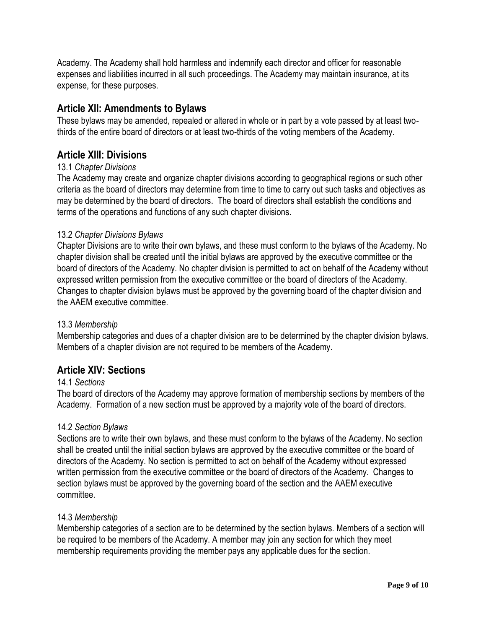Academy. The Academy shall hold harmless and indemnify each director and officer for reasonable expenses and liabilities incurred in all such proceedings. The Academy may maintain insurance, at its expense, for these purposes.

## **Article XII: Amendments to Bylaws**

These bylaws may be amended, repealed or altered in whole or in part by a vote passed by at least twothirds of the entire board of directors or at least two-thirds of the voting members of the Academy.

## **Article XIII: Divisions**

## 13.1 *Chapter Divisions*

The Academy may create and organize chapter divisions according to geographical regions or such other criteria as the board of directors may determine from time to time to carry out such tasks and objectives as may be determined by the board of directors. The board of directors shall establish the conditions and terms of the operations and functions of any such chapter divisions.

## 13.2 *Chapter Divisions Bylaws*

Chapter Divisions are to write their own bylaws, and these must conform to the bylaws of the Academy. No chapter division shall be created until the initial bylaws are approved by the executive committee or the board of directors of the Academy. No chapter division is permitted to act on behalf of the Academy without expressed written permission from the executive committee or the board of directors of the Academy. Changes to chapter division bylaws must be approved by the governing board of the chapter division and the AAEM executive committee.

## 13.3 *Membership*

Membership categories and dues of a chapter division are to be determined by the chapter division bylaws. Members of a chapter division are not required to be members of the Academy.

## **Article XIV: Sections**

## 14.1 *Sections*

The board of directors of the Academy may approve formation of membership sections by members of the Academy. Formation of a new section must be approved by a majority vote of the board of directors.

## 14.2 *Section Bylaws*

Sections are to write their own bylaws, and these must conform to the bylaws of the Academy. No section shall be created until the initial section bylaws are approved by the executive committee or the board of directors of the Academy. No section is permitted to act on behalf of the Academy without expressed written permission from the executive committee or the board of directors of the Academy. Changes to section bylaws must be approved by the governing board of the section and the AAEM executive committee.

## 14.3 *Membership*

Membership categories of a section are to be determined by the section bylaws. Members of a section will be required to be members of the Academy. A member may join any section for which they meet membership requirements providing the member pays any applicable dues for the section.